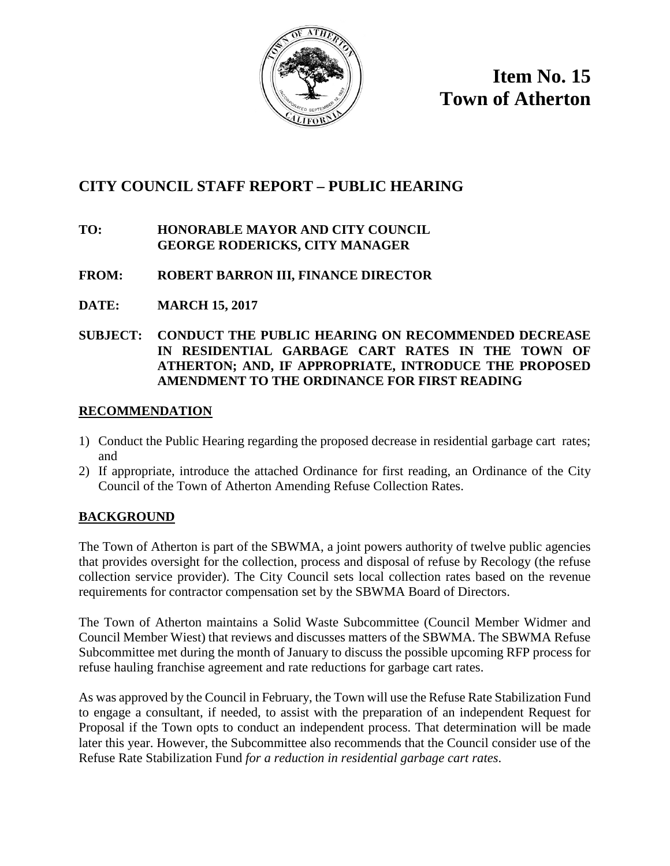

**Item No. 15 Town of Atherton**

# **CITY COUNCIL STAFF REPORT – PUBLIC HEARING**

## **TO: HONORABLE MAYOR AND CITY COUNCIL GEORGE RODERICKS, CITY MANAGER**

## **FROM: ROBERT BARRON III, FINANCE DIRECTOR**

**DATE: MARCH 15, 2017**

## **SUBJECT: CONDUCT THE PUBLIC HEARING ON RECOMMENDED DECREASE IN RESIDENTIAL GARBAGE CART RATES IN THE TOWN OF ATHERTON; AND, IF APPROPRIATE, INTRODUCE THE PROPOSED AMENDMENT TO THE ORDINANCE FOR FIRST READING**

## **RECOMMENDATION**

- 1) Conduct the Public Hearing regarding the proposed decrease in residential garbage cart rates; and
- 2) If appropriate, introduce the attached Ordinance for first reading, an Ordinance of the City Council of the Town of Atherton Amending Refuse Collection Rates.

## **BACKGROUND**

The Town of Atherton is part of the SBWMA, a joint powers authority of twelve public agencies that provides oversight for the collection, process and disposal of refuse by Recology (the refuse collection service provider). The City Council sets local collection rates based on the revenue requirements for contractor compensation set by the SBWMA Board of Directors.

The Town of Atherton maintains a Solid Waste Subcommittee (Council Member Widmer and Council Member Wiest) that reviews and discusses matters of the SBWMA. The SBWMA Refuse Subcommittee met during the month of January to discuss the possible upcoming RFP process for refuse hauling franchise agreement and rate reductions for garbage cart rates.

As was approved by the Council in February, the Town will use the Refuse Rate Stabilization Fund to engage a consultant, if needed, to assist with the preparation of an independent Request for Proposal if the Town opts to conduct an independent process. That determination will be made later this year. However, the Subcommittee also recommends that the Council consider use of the Refuse Rate Stabilization Fund *for a reduction in residential garbage cart rates*.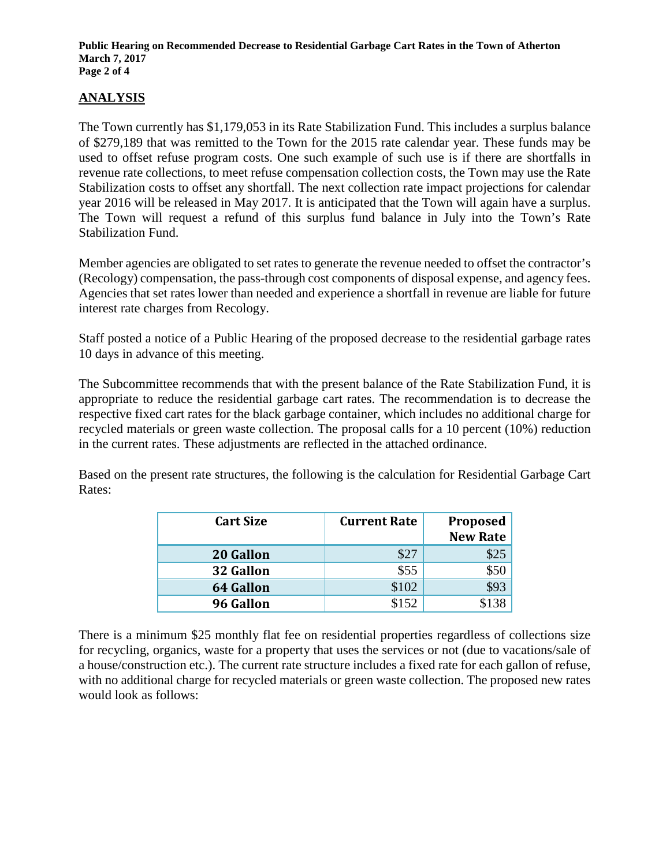**Public Hearing on Recommended Decrease to Residential Garbage Cart Rates in the Town of Atherton March 7, 2017 Page 2 of 4**

# **ANALYSIS**

The Town currently has \$1,179,053 in its Rate Stabilization Fund. This includes a surplus balance of \$279,189 that was remitted to the Town for the 2015 rate calendar year. These funds may be used to offset refuse program costs. One such example of such use is if there are shortfalls in revenue rate collections, to meet refuse compensation collection costs, the Town may use the Rate Stabilization costs to offset any shortfall. The next collection rate impact projections for calendar year 2016 will be released in May 2017. It is anticipated that the Town will again have a surplus. The Town will request a refund of this surplus fund balance in July into the Town's Rate Stabilization Fund.

Member agencies are obligated to set rates to generate the revenue needed to offset the contractor's (Recology) compensation, the pass-through cost components of disposal expense, and agency fees. Agencies that set rates lower than needed and experience a shortfall in revenue are liable for future interest rate charges from Recology.

Staff posted a notice of a Public Hearing of the proposed decrease to the residential garbage rates 10 days in advance of this meeting.

The Subcommittee recommends that with the present balance of the Rate Stabilization Fund, it is appropriate to reduce the residential garbage cart rates. The recommendation is to decrease the respective fixed cart rates for the black garbage container, which includes no additional charge for recycled materials or green waste collection. The proposal calls for a 10 percent (10%) reduction in the current rates. These adjustments are reflected in the attached ordinance.

Based on the present rate structures, the following is the calculation for Residential Garbage Cart Rates:

| <b>Cart Size</b> | <b>Current Rate</b> | <b>Proposed</b> |
|------------------|---------------------|-----------------|
|                  |                     | <b>New Rate</b> |
| 20 Gallon        | \$27                | \$25            |
| 32 Gallon        | \$55                |                 |
| <b>64 Gallon</b> | \$102               | \$93            |
| 96 Gallon        | \$152               |                 |

There is a minimum \$25 monthly flat fee on residential properties regardless of collections size for recycling, organics, waste for a property that uses the services or not (due to vacations/sale of a house/construction etc.). The current rate structure includes a fixed rate for each gallon of refuse, with no additional charge for recycled materials or green waste collection. The proposed new rates would look as follows: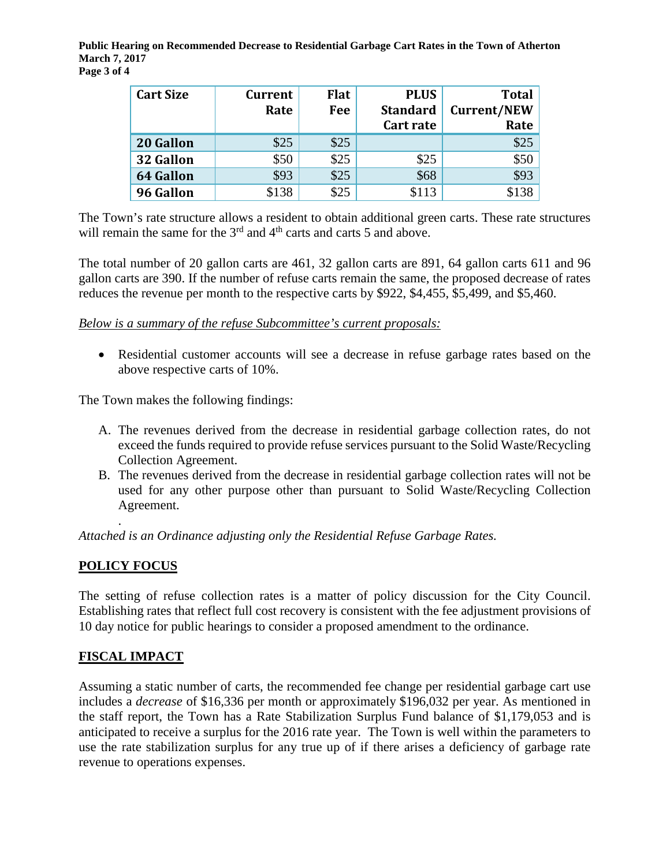**Public Hearing on Recommended Decrease to Residential Garbage Cart Rates in the Town of Atherton March 7, 2017 Page 3 of 4**

| <b>Cart Size</b> | <b>Current</b> | <b>Flat</b> | <b>PLUS</b>     | <b>Total</b>       |
|------------------|----------------|-------------|-----------------|--------------------|
|                  | Rate           | Fee         | <b>Standard</b> | <b>Current/NEW</b> |
|                  |                |             | Cart rate       | Rate               |
| 20 Gallon        | \$25           | \$25        |                 | \$25               |
| 32 Gallon        | \$50           | \$25        | \$25            | \$50               |
| <b>64 Gallon</b> | \$93           | \$25        | \$68            | \$93               |
| 96 Gallon        | \$138          | \$25        | \$113           |                    |

The Town's rate structure allows a resident to obtain additional green carts. These rate structures will remain the same for the  $3<sup>rd</sup>$  and  $4<sup>th</sup>$  carts and carts 5 and above.

The total number of 20 gallon carts are 461, 32 gallon carts are 891, 64 gallon carts 611 and 96 gallon carts are 390. If the number of refuse carts remain the same, the proposed decrease of rates reduces the revenue per month to the respective carts by \$922, \$4,455, \$5,499, and \$5,460.

*Below is a summary of the refuse Subcommittee's current proposals:*

• Residential customer accounts will see a decrease in refuse garbage rates based on the above respective carts of 10%.

The Town makes the following findings:

- A. The revenues derived from the decrease in residential garbage collection rates, do not exceed the funds required to provide refuse services pursuant to the Solid Waste/Recycling Collection Agreement.
- B. The revenues derived from the decrease in residential garbage collection rates will not be used for any other purpose other than pursuant to Solid Waste/Recycling Collection Agreement.

. *Attached is an Ordinance adjusting only the Residential Refuse Garbage Rates.* 

## **POLICY FOCUS**

The setting of refuse collection rates is a matter of policy discussion for the City Council. Establishing rates that reflect full cost recovery is consistent with the fee adjustment provisions of 10 day notice for public hearings to consider a proposed amendment to the ordinance.

## **FISCAL IMPACT**

Assuming a static number of carts, the recommended fee change per residential garbage cart use includes a *decrease* of \$16,336 per month or approximately \$196,032 per year. As mentioned in the staff report, the Town has a Rate Stabilization Surplus Fund balance of \$1,179,053 and is anticipated to receive a surplus for the 2016 rate year. The Town is well within the parameters to use the rate stabilization surplus for any true up of if there arises a deficiency of garbage rate revenue to operations expenses.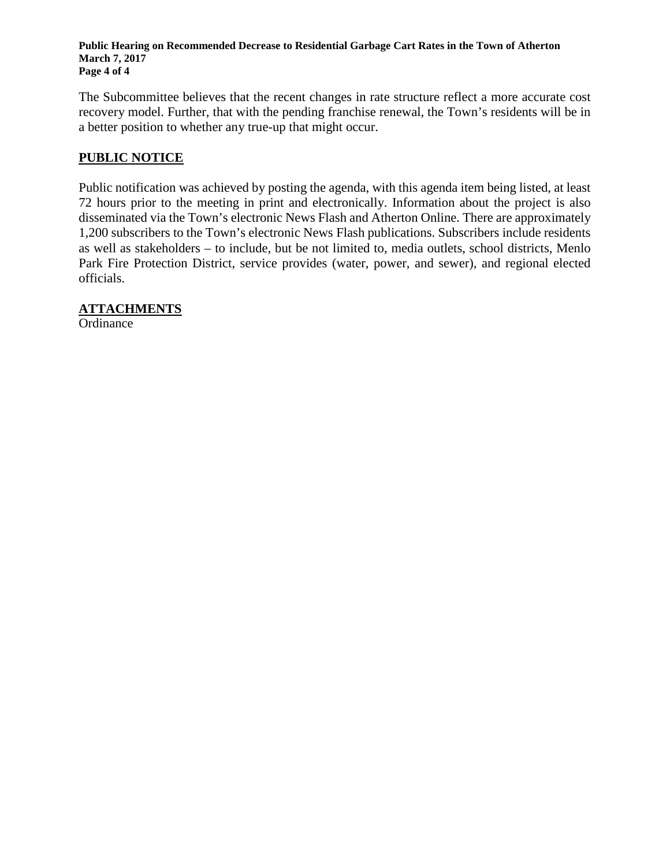**Public Hearing on Recommended Decrease to Residential Garbage Cart Rates in the Town of Atherton March 7, 2017 Page 4 of 4**

The Subcommittee believes that the recent changes in rate structure reflect a more accurate cost recovery model. Further, that with the pending franchise renewal, the Town's residents will be in a better position to whether any true-up that might occur.

#### **PUBLIC NOTICE**

Public notification was achieved by posting the agenda, with this agenda item being listed, at least 72 hours prior to the meeting in print and electronically. Information about the project is also disseminated via the Town's electronic News Flash and Atherton Online. There are approximately 1,200 subscribers to the Town's electronic News Flash publications. Subscribers include residents as well as stakeholders – to include, but be not limited to, media outlets, school districts, Menlo Park Fire Protection District, service provides (water, power, and sewer), and regional elected officials.

**ATTACHMENTS**

**Ordinance**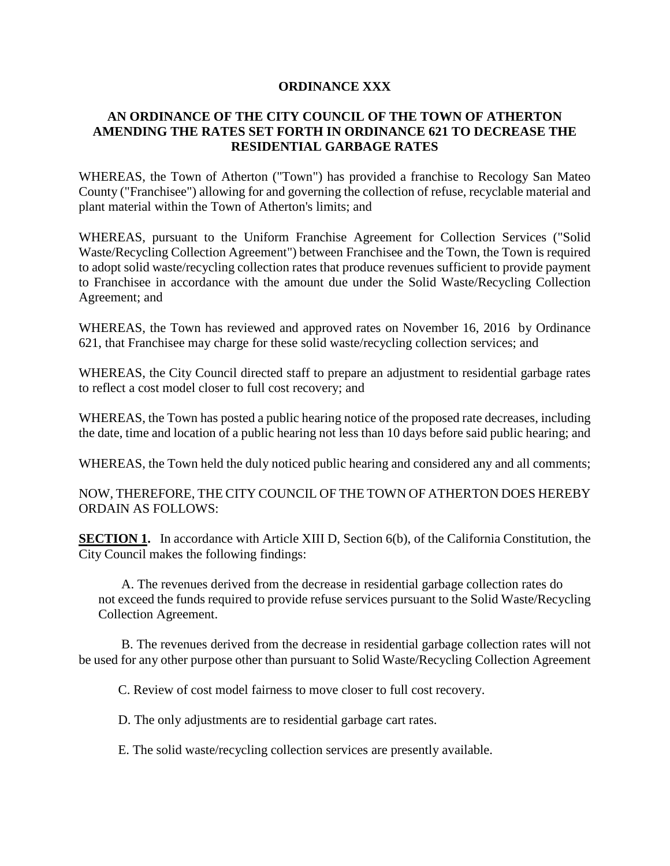#### **ORDINANCE XXX**

#### **AN ORDINANCE OF THE CITY COUNCIL OF THE TOWN OF ATHERTON AMENDING THE RATES SET FORTH IN ORDINANCE 621 TO DECREASE THE RESIDENTIAL GARBAGE RATES**

WHEREAS, the Town of Atherton ("Town") has provided a franchise to Recology San Mateo County ("Franchisee") allowing for and governing the collection of refuse, recyclable material and plant material within the Town of Atherton's limits; and

WHEREAS, pursuant to the Uniform Franchise Agreement for Collection Services ("Solid Waste/Recycling Collection Agreement") between Franchisee and the Town, the Town is required to adopt solid waste/recycling collection rates that produce revenues sufficient to provide payment to Franchisee in accordance with the amount due under the Solid Waste/Recycling Collection Agreement; and

WHEREAS, the Town has reviewed and approved rates on November 16, 2016 by Ordinance 621, that Franchisee may charge for these solid waste/recycling collection services; and

WHEREAS, the City Council directed staff to prepare an adjustment to residential garbage rates to reflect a cost model closer to full cost recovery; and

WHEREAS, the Town has posted a public hearing notice of the proposed rate decreases, including the date, time and location of a public hearing not less than 10 days before said public hearing; and

WHEREAS, the Town held the duly noticed public hearing and considered any and all comments;

NOW, THEREFORE, THE CITY COUNCIL OF THE TOWN OF ATHERTON DOES HEREBY ORDAIN AS FOLLOWS:

**SECTION 1.** In accordance with Article XIII D, Section 6(b), of the California Constitution, the City Council makes the following findings:

 A. The revenues derived from the decrease in residential garbage collection rates do not exceed the funds required to provide refuse services pursuant to the Solid Waste/Recycling Collection Agreement.

 B. The revenues derived from the decrease in residential garbage collection rates will not be used for any other purpose other than pursuant to Solid Waste/Recycling Collection Agreement

C. Review of cost model fairness to move closer to full cost recovery.

D. The only adjustments are to residential garbage cart rates.

E. The solid waste/recycling collection services are presently available.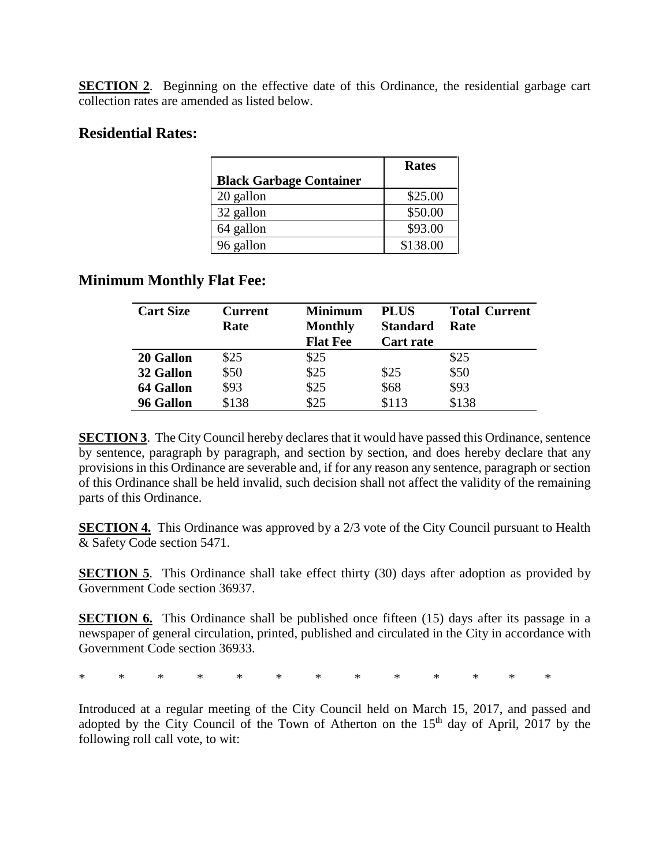**SECTION 2.** Beginning on the effective date of this Ordinance, the residential garbage cart collection rates are amended as listed below.

## **Residential Rates:**

|                                | <b>Rates</b> |
|--------------------------------|--------------|
| <b>Black Garbage Container</b> |              |
| 20 gallon                      | \$25.00      |
| 32 gallon                      | \$50.00      |
| 64 gallon                      | \$93.00      |
| 96 gallon                      | \$138.00     |

# **Minimum Monthly Flat Fee:**

| <b>Cart Size</b> | <b>Current</b><br>Rate | <b>Minimum</b><br><b>Monthly</b> | <b>PLUS</b><br><b>Standard</b> | <b>Total Current</b><br>Rate |
|------------------|------------------------|----------------------------------|--------------------------------|------------------------------|
|                  |                        | <b>Flat Fee</b>                  | <b>Cart rate</b>               |                              |
| 20 Gallon        | \$25                   | \$25                             |                                | \$25                         |
| 32 Gallon        | \$50                   | \$25                             | \$25                           | \$50                         |
| 64 Gallon        | \$93                   | \$25                             | \$68                           | \$93                         |
| 96 Gallon        | \$138                  | \$25                             | \$113                          | \$138                        |

**SECTION 3**. The City Council hereby declares that it would have passed this Ordinance, sentence by sentence, paragraph by paragraph, and section by section, and does hereby declare that any provisions in this Ordinance are severable and, if for any reason any sentence, paragraph or section of this Ordinance shall be held invalid, such decision shall not affect the validity of the remaining parts of this Ordinance.

**SECTION 4.** This Ordinance was approved by a 2/3 vote of the City Council pursuant to Health & Safety Code section 5471.

**SECTION 5**. This Ordinance shall take effect thirty (30) days after adoption as provided by Government Code section 36937.

**SECTION 6.** This Ordinance shall be published once fifteen (15) days after its passage in a newspaper of general circulation, printed, published and circulated in the City in accordance with Government Code section 36933.

\* \* \* \* \* \* \* \* \* \* \* \* \*

Introduced at a regular meeting of the City Council held on March 15, 2017, and passed and adopted by the City Council of the Town of Atherton on the  $15<sup>th</sup>$  day of April, 2017 by the following roll call vote, to wit: